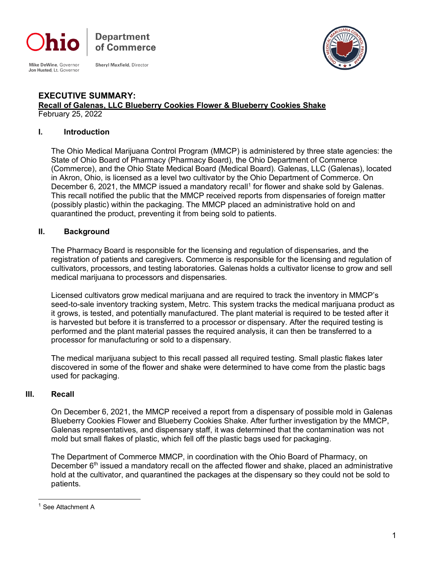

**Department** of Commerce

Mike DeWine, Governor Jon Husted, Lt. Governor

**Sheryl Maxfield, Director** 



#### **EXECUTIVE SUMMARY: Recall of Galenas, LLC Blueberry Cookies Flower & Blueberry Cookies Shake** February 25, 2022

#### **I. Introduction**

The Ohio Medical Marijuana Control Program (MMCP) is administered by three state agencies: the State of Ohio Board of Pharmacy (Pharmacy Board), the Ohio Department of Commerce (Commerce), and the Ohio State Medical Board (Medical Board). Galenas, LLC (Galenas), located in Akron, Ohio, is licensed as a level two cultivator by the Ohio Department of Commerce. On December 6, 2021, the MMCP issued a mandatory recall<sup>1</sup> for flower and shake sold by Galenas. This recall notified the public that the MMCP received reports from dispensaries of foreign matter (possibly plastic) within the packaging. The MMCP placed an administrative hold on and quarantined the product, preventing it from being sold to patients.

## **II. Background**

The Pharmacy Board is responsible for the licensing and regulation of dispensaries, and the registration of patients and caregivers. Commerce is responsible for the licensing and regulation of cultivators, processors, and testing laboratories. Galenas holds a cultivator license to grow and sell medical marijuana to processors and dispensaries.

Licensed cultivators grow medical marijuana and are required to track the inventory in MMCP's seed-to-sale inventory tracking system, Metrc. This system tracks the medical marijuana product as it grows, is tested, and potentially manufactured. The plant material is required to be tested after it is harvested but before it is transferred to a processor or dispensary. After the required testing is performed and the plant material passes the required analysis, it can then be transferred to a processor for manufacturing or sold to a dispensary.

The medical marijuana subject to this recall passed all required testing. Small plastic flakes later discovered in some of the flower and shake were determined to have come from the plastic bags used for packaging.

## **III. Recall**

On December 6, 2021, the MMCP received a report from a dispensary of possible mold in Galenas Blueberry Cookies Flower and Blueberry Cookies Shake. After further investigation by the MMCP, Galenas representatives, and dispensary staff, it was determined that the contamination was not mold but small flakes of plastic, which fell off the plastic bags used for packaging.

The Department of Commerce MMCP, in coordination with the Ohio Board of Pharmacy, on December  $6<sup>th</sup>$  issued a mandatory recall on the affected flower and shake, placed an administrative hold at the cultivator, and quarantined the packages at the dispensary so they could not be sold to patients.

<span id="page-0-0"></span><sup>&</sup>lt;sup>1</sup> See Attachment A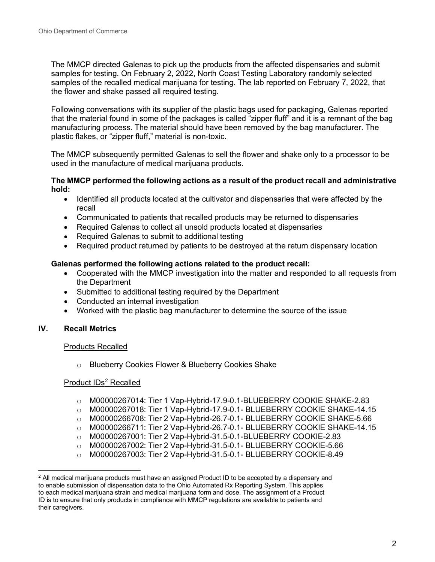The MMCP directed Galenas to pick up the products from the affected dispensaries and submit samples for testing. On February 2, 2022, North Coast Testing Laboratory randomly selected samples of the recalled medical marijuana for testing. The lab reported on February 7, 2022, that the flower and shake passed all required testing.

Following conversations with its supplier of the plastic bags used for packaging, Galenas reported that the material found in some of the packages is called "zipper fluff" and it is a remnant of the bag manufacturing process. The material should have been removed by the bag manufacturer. The plastic flakes, or "zipper fluff," material is non-toxic.

The MMCP subsequently permitted Galenas to sell the flower and shake only to a processor to be used in the manufacture of medical marijuana products.

#### **The MMCP performed the following actions as a result of the product recall and administrative hold:**

- Identified all products located at the cultivator and dispensaries that were affected by the recall
- Communicated to patients that recalled products may be returned to dispensaries
- Required Galenas to collect all unsold products located at dispensaries
- Required Galenas to submit to additional testing
- Required product returned by patients to be destroyed at the return dispensary location

### **Galenas performed the following actions related to the product recall:**

- Cooperated with the MMCP investigation into the matter and responded to all requests from the Department
- Submitted to additional testing required by the Department
- Conducted an internal investigation
- Worked with the plastic bag manufacturer to determine the source of the issue

### **IV. Recall Metrics**

#### Products Recalled

o Blueberry Cookies Flower & Blueberry Cookies Shake

#### Product IDs<sup>[2](#page-1-0)</sup> Recalled

- o M00000267014: Tier 1 Vap-Hybrid-17.9-0.1-BLUEBERRY COOKIE SHAKE-2.83
- o M00000267018: Tier 1 Vap-Hybrid-17.9-0.1- BLUEBERRY COOKIE SHAKE-14.15
- o M00000266708: Tier 2 Vap-Hybrid-26.7-0.1- BLUEBERRY COOKIE SHAKE-5.66
- o M00000266711: Tier 2 Vap-Hybrid-26.7-0.1- BLUEBERRY COOKIE SHAKE-14.15
- 
- o M00000267001: Tier 2 Vap-Hybrid-31.5-0.1-BLUEBERRY COOKIE-2.83 o M00000267002: Tier 2 Vap-Hybrid-31.5-0.1- BLUEBERRY COOKIE-5.66
- o M00000267003: Tier 2 Vap-Hybrid-31.5-0.1- BLUEBERRY COOKIE-8.49

<span id="page-1-0"></span> $2$  All medical marijuana products must have an assigned Product ID to be accepted by a dispensary and to enable submission of dispensation data to the Ohio Automated Rx Reporting System. This applies to each medical marijuana strain and medical marijuana form and dose. The assignment of a Product ID is to ensure that only products in compliance with MMCP regulations are available to patients and their caregivers.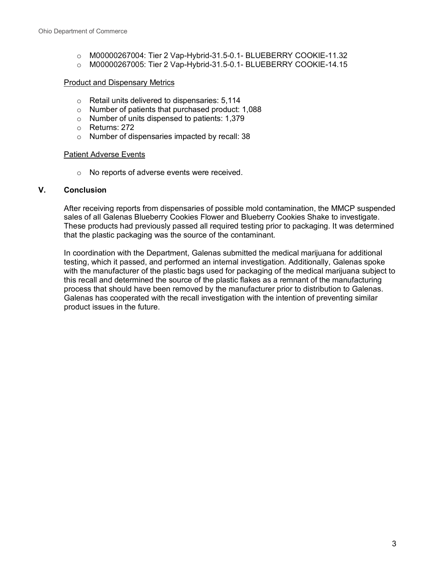- o M00000267004: Tier 2 Vap-Hybrid-31.5-0.1- BLUEBERRY COOKIE-11.32
- o M00000267005: Tier 2 Vap-Hybrid-31.5-0.1- BLUEBERRY COOKIE-14.15

#### Product and Dispensary Metrics

- o Retail units delivered to dispensaries: 5,114
- o Number of patients that purchased product: 1,088
- o Number of units dispensed to patients: 1,379
- o Returns: 272
- o Number of dispensaries impacted by recall: 38

### Patient Adverse Events

o No reports of adverse events were received.

### **V. Conclusion**

After receiving reports from dispensaries of possible mold contamination, the MMCP suspended sales of all Galenas Blueberry Cookies Flower and Blueberry Cookies Shake to investigate. These products had previously passed all required testing prior to packaging. It was determined that the plastic packaging was the source of the contaminant.

In coordination with the Department, Galenas submitted the medical marijuana for additional testing, which it passed, and performed an internal investigation. Additionally, Galenas spoke with the manufacturer of the plastic bags used for packaging of the medical marijuana subject to this recall and determined the source of the plastic flakes as a remnant of the manufacturing process that should have been removed by the manufacturer prior to distribution to Galenas. Galenas has cooperated with the recall investigation with the intention of preventing similar product issues in the future.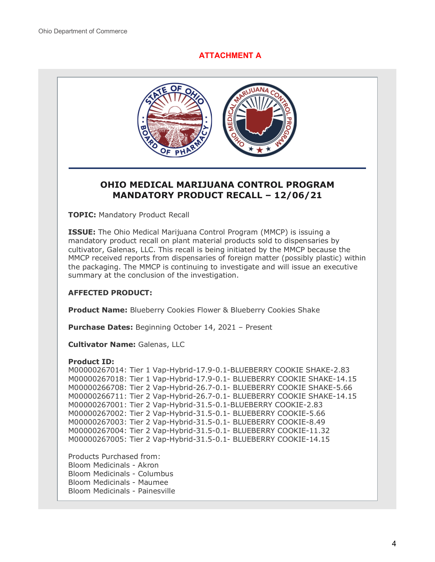# **ATTACHMENT A**



# **OHIO MEDICAL MARIJUANA CONTROL PROGRAM MANDATORY PRODUCT RECALL – 12/06/21**

**TOPIC:** Mandatory Product Recall

**ISSUE:** The Ohio Medical Marijuana Control Program (MMCP) is issuing a mandatory product recall on plant material products sold to dispensaries by cultivator, Galenas, LLC. This recall is being initiated by the MMCP because the MMCP received reports from dispensaries of foreign matter (possibly plastic) within the packaging. The MMCP is continuing to investigate and will issue an executive summary at the conclusion of the investigation.

## **AFFECTED PRODUCT:**

**Product Name:** Blueberry Cookies Flower & Blueberry Cookies Shake

**Purchase Dates:** Beginning October 14, 2021 – Present

**Cultivator Name:** Galenas, LLC

#### **Product ID:**

M00000267014: Tier 1 Vap-Hybrid-17.9-0.1-BLUEBERRY COOKIE SHAKE-2.83 M00000267018: Tier 1 Vap-Hybrid-17.9-0.1- BLUEBERRY COOKIE SHAKE-14.15 M00000266708: Tier 2 Vap-Hybrid-26.7-0.1- BLUEBERRY COOKIE SHAKE-5.66 M00000266711: Tier 2 Vap-Hybrid-26.7-0.1- BLUEBERRY COOKIE SHAKE-14.15 M00000267001: Tier 2 Vap-Hybrid-31.5-0.1-BLUEBERRY COOKIE-2.83 M00000267002: Tier 2 Vap-Hybrid-31.5-0.1- BLUEBERRY COOKIE-5.66 M00000267003: Tier 2 Vap-Hybrid-31.5-0.1- BLUEBERRY COOKIE-8.49 M00000267004: Tier 2 Vap-Hybrid-31.5-0.1- BLUEBERRY COOKIE-11.32 M00000267005: Tier 2 Vap-Hybrid-31.5-0.1- BLUEBERRY COOKIE-14.15

Products Purchased from: Bloom Medicinals - Akron Bloom Medicinals - Columbus Bloom Medicinals - Maumee Bloom Medicinals - Painesville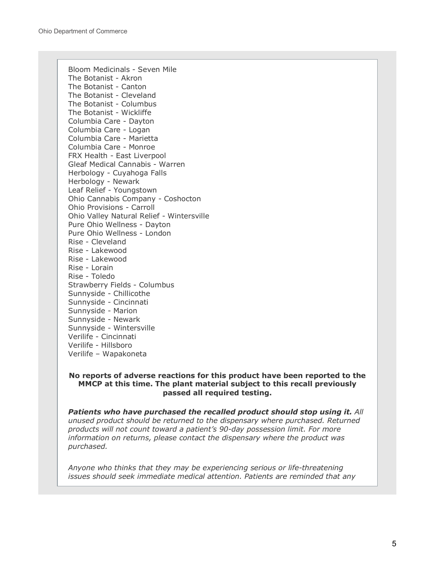Bloom Medicinals - Seven Mile The Botanist - Akron The Botanist - Canton The Botanist - Cleveland The Botanist - Columbus The Botanist - Wickliffe Columbia Care - Dayton Columbia Care - Logan Columbia Care - Marietta Columbia Care - Monroe FRX Health - East Liverpool Gleaf Medical Cannabis - Warren Herbology - Cuyahoga Falls Herbology - Newark Leaf Relief - Youngstown Ohio Cannabis Company - Coshocton Ohio Provisions - Carroll Ohio Valley Natural Relief - Wintersville Pure Ohio Wellness - Dayton Pure Ohio Wellness - London Rise - Cleveland Rise - Lakewood Rise - Lakewood Rise - Lorain Rise - Toledo Strawberry Fields - Columbus Sunnyside - Chillicothe Sunnyside - Cincinnati Sunnyside - Marion Sunnyside - Newark Sunnyside - Wintersville Verilife - Cincinnati Verilife - Hillsboro Verilife – Wapakoneta

#### **No reports of adverse reactions for this product have been reported to the MMCP at this time. The plant material subject to this recall previously passed all required testing.**

*Patients who have purchased the recalled product should stop using it. All unused product should be returned to the dispensary where purchased. Returned products will not count toward a patient's 90-day possession limit. For more information on returns, please contact the dispensary where the product was purchased.*

*Anyone who thinks that they may be experiencing serious or life-threatening issues should seek immediate medical attention. Patients are reminded that any*